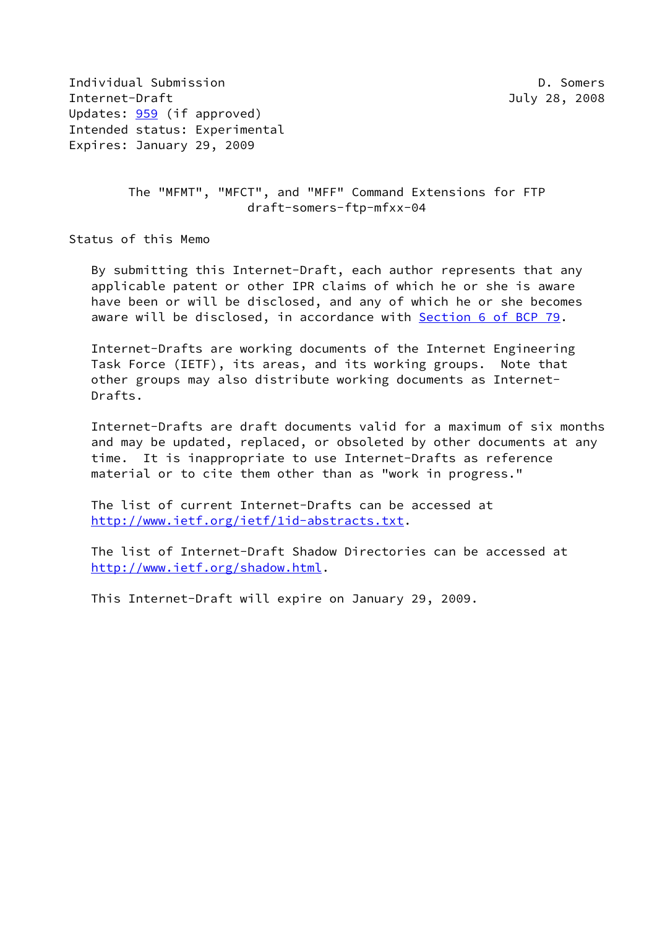Individual Submission D. Somers Internet-Draft July 28, 2008 Updates: [959](https://datatracker.ietf.org/doc/pdf/rfc959) (if approved) Intended status: Experimental Expires: January 29, 2009

 The "MFMT", "MFCT", and "MFF" Command Extensions for FTP draft-somers-ftp-mfxx-04

Status of this Memo

 By submitting this Internet-Draft, each author represents that any applicable patent or other IPR claims of which he or she is aware have been or will be disclosed, and any of which he or she becomes aware will be disclosed, in accordance with Section [6 of BCP 79.](https://datatracker.ietf.org/doc/pdf/bcp79#section-6)

 Internet-Drafts are working documents of the Internet Engineering Task Force (IETF), its areas, and its working groups. Note that other groups may also distribute working documents as Internet- Drafts.

 Internet-Drafts are draft documents valid for a maximum of six months and may be updated, replaced, or obsoleted by other documents at any time. It is inappropriate to use Internet-Drafts as reference material or to cite them other than as "work in progress."

 The list of current Internet-Drafts can be accessed at <http://www.ietf.org/ietf/1id-abstracts.txt>.

 The list of Internet-Draft Shadow Directories can be accessed at <http://www.ietf.org/shadow.html>.

This Internet-Draft will expire on January 29, 2009.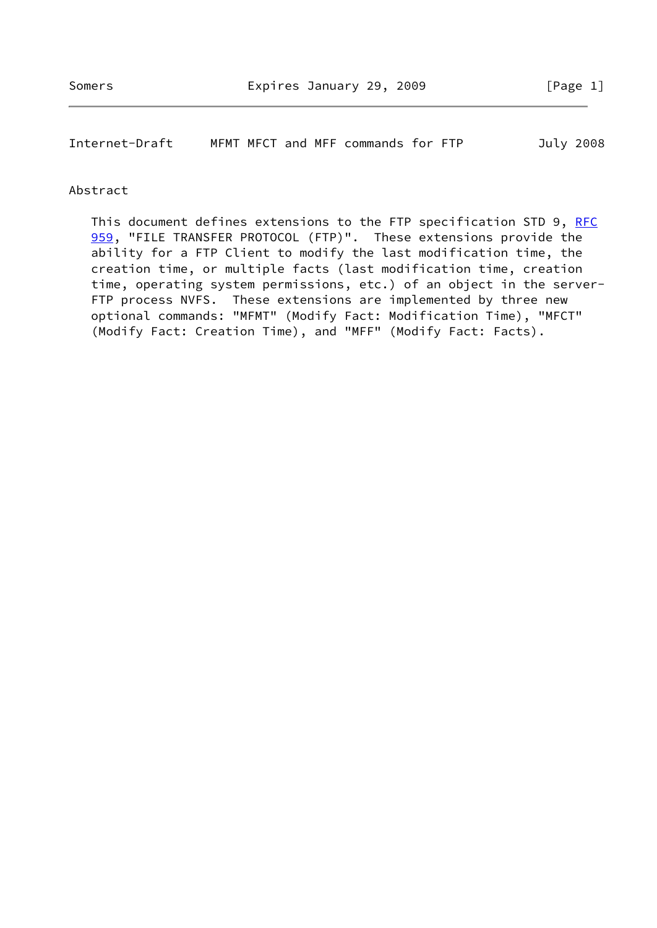Internet-Draft MFMT MFCT and MFF commands for FTP July 2008

#### Abstract

This document defines extensions to the FTP specification STD 9, [RFC](https://datatracker.ietf.org/doc/pdf/rfc959) [959](https://datatracker.ietf.org/doc/pdf/rfc959), "FILE TRANSFER PROTOCOL (FTP)". These extensions provide the ability for a FTP Client to modify the last modification time, the creation time, or multiple facts (last modification time, creation time, operating system permissions, etc.) of an object in the server- FTP process NVFS. These extensions are implemented by three new optional commands: "MFMT" (Modify Fact: Modification Time), "MFCT" (Modify Fact: Creation Time), and "MFF" (Modify Fact: Facts).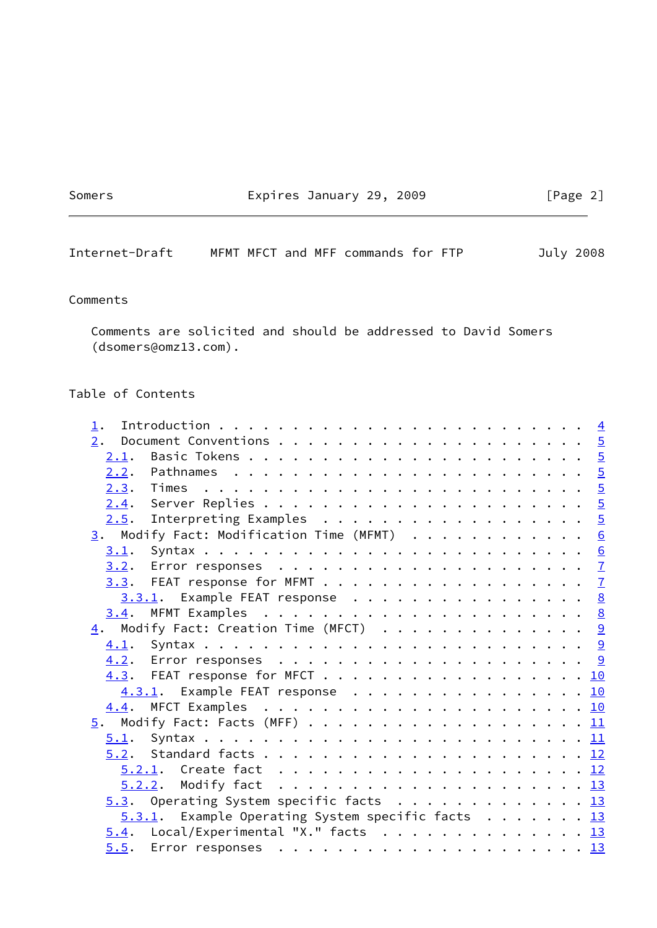Somers Expires January 29, 2009 [Page 2]

Internet-Draft MFMT MFCT and MFF commands for FTP July 2008

# Comments

 Comments are solicited and should be addressed to David Somers (dsomers@omz13.com).

# Table of Contents

| $1$ . |  |                                                                                                                                                                                                                                                                                                                                                                                              |
|-------|--|----------------------------------------------------------------------------------------------------------------------------------------------------------------------------------------------------------------------------------------------------------------------------------------------------------------------------------------------------------------------------------------------|
|       |  |                                                                                                                                                                                                                                                                                                                                                                                              |
| 2.1.  |  |                                                                                                                                                                                                                                                                                                                                                                                              |
|       |  |                                                                                                                                                                                                                                                                                                                                                                                              |
|       |  |                                                                                                                                                                                                                                                                                                                                                                                              |
|       |  |                                                                                                                                                                                                                                                                                                                                                                                              |
|       |  |                                                                                                                                                                                                                                                                                                                                                                                              |
|       |  |                                                                                                                                                                                                                                                                                                                                                                                              |
|       |  |                                                                                                                                                                                                                                                                                                                                                                                              |
|       |  |                                                                                                                                                                                                                                                                                                                                                                                              |
|       |  |                                                                                                                                                                                                                                                                                                                                                                                              |
|       |  |                                                                                                                                                                                                                                                                                                                                                                                              |
|       |  |                                                                                                                                                                                                                                                                                                                                                                                              |
|       |  |                                                                                                                                                                                                                                                                                                                                                                                              |
|       |  |                                                                                                                                                                                                                                                                                                                                                                                              |
|       |  |                                                                                                                                                                                                                                                                                                                                                                                              |
|       |  |                                                                                                                                                                                                                                                                                                                                                                                              |
|       |  |                                                                                                                                                                                                                                                                                                                                                                                              |
|       |  |                                                                                                                                                                                                                                                                                                                                                                                              |
|       |  |                                                                                                                                                                                                                                                                                                                                                                                              |
|       |  |                                                                                                                                                                                                                                                                                                                                                                                              |
|       |  |                                                                                                                                                                                                                                                                                                                                                                                              |
|       |  |                                                                                                                                                                                                                                                                                                                                                                                              |
|       |  |                                                                                                                                                                                                                                                                                                                                                                                              |
|       |  |                                                                                                                                                                                                                                                                                                                                                                                              |
|       |  |                                                                                                                                                                                                                                                                                                                                                                                              |
|       |  |                                                                                                                                                                                                                                                                                                                                                                                              |
|       |  |                                                                                                                                                                                                                                                                                                                                                                                              |
|       |  | $2.5$ . Interpreting Examples 5<br>3. Modify Fact: Modification Time (MFMT) 6<br>3.3.1. Example FEAT response 8<br>$\underline{4}$ . Modify Fact: Creation Time (MFCT) 9<br>4.3. FEAT response for MFCT 10<br>4.3.1. Example FEAT response 10<br>5.3. Operating System specific facts 13<br>$5.3.1$ . Example Operating System specific facts 13<br>$5.4$ . Local/Experimental "X." facts 13 |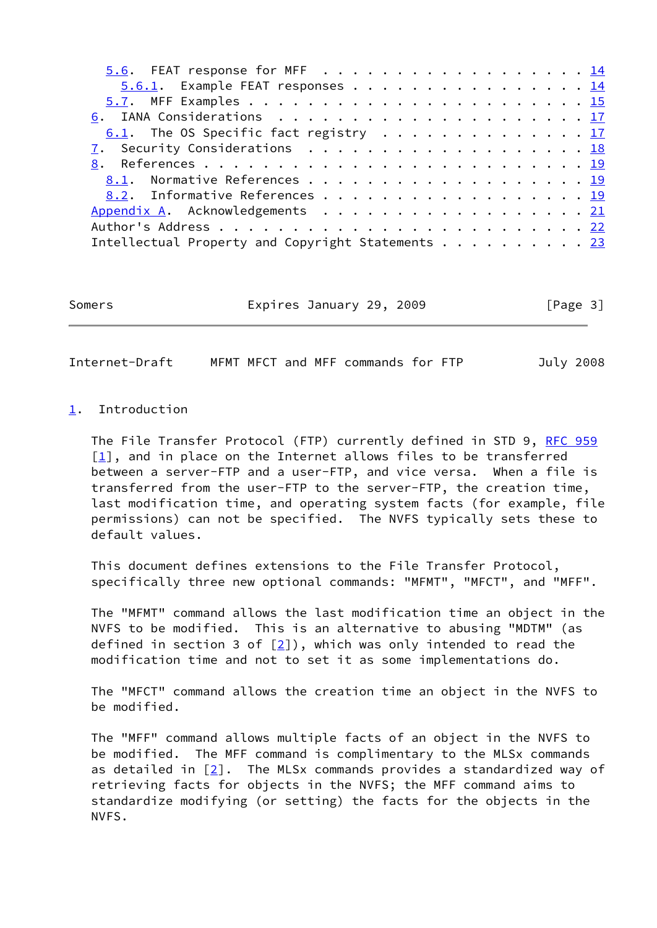| $5.6.1$ . Example FEAT responses 14               |  |  |  |  |  |  |
|---------------------------------------------------|--|--|--|--|--|--|
|                                                   |  |  |  |  |  |  |
|                                                   |  |  |  |  |  |  |
| 6.1. The OS Specific fact registry 17             |  |  |  |  |  |  |
| 7. Security Considerations 18                     |  |  |  |  |  |  |
|                                                   |  |  |  |  |  |  |
| 8.1. Normative References 19                      |  |  |  |  |  |  |
| 8.2. Informative References 19                    |  |  |  |  |  |  |
| Appendix A. Acknowledgements 21                   |  |  |  |  |  |  |
|                                                   |  |  |  |  |  |  |
| Intellectual Property and Copyright Statements 23 |  |  |  |  |  |  |
|                                                   |  |  |  |  |  |  |

Somers **Expires January 29, 2009** [Page 3]

<span id="page-3-1"></span>Internet-Draft MFMT MFCT and MFF commands for FTP July 2008

# <span id="page-3-0"></span>[1](#page-3-0). Introduction

The File Transfer Protocol (FTP) currently defined in STD 9, [RFC 959](https://datatracker.ietf.org/doc/pdf/rfc959)  $[1]$  $[1]$ , and in place on the Internet allows files to be transferred between a server-FTP and a user-FTP, and vice versa. When a file is transferred from the user-FTP to the server-FTP, the creation time, last modification time, and operating system facts (for example, file permissions) can not be specified. The NVFS typically sets these to default values.

 This document defines extensions to the File Transfer Protocol, specifically three new optional commands: "MFMT", "MFCT", and "MFF".

 The "MFMT" command allows the last modification time an object in the NVFS to be modified. This is an alternative to abusing "MDTM" (as defined in section 3 of  $[2]$  $[2]$ ), which was only intended to read the modification time and not to set it as some implementations do.

 The "MFCT" command allows the creation time an object in the NVFS to be modified.

 The "MFF" command allows multiple facts of an object in the NVFS to be modified. The MFF command is complimentary to the MLSx commands as detailed in [\[2](#page-20-5)]. The MLSx commands provides a standardized way of retrieving facts for objects in the NVFS; the MFF command aims to standardize modifying (or setting) the facts for the objects in the NVFS.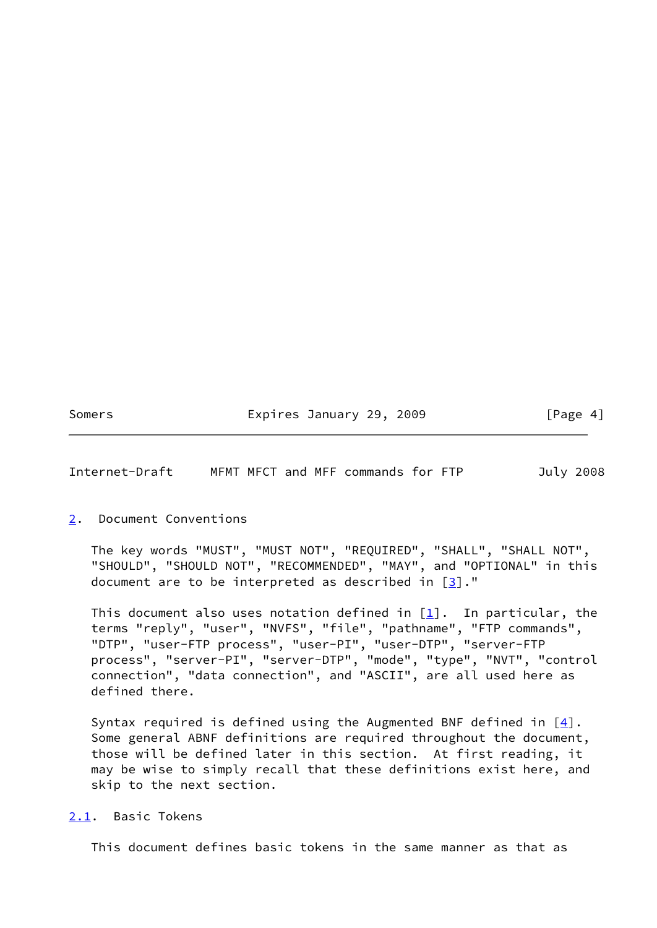Somers **Expires January 29, 2009** [Page 4]

<span id="page-4-1"></span>Internet-Draft MFMT MFCT and MFF commands for FTP July 2008

#### <span id="page-4-0"></span>[2](#page-4-0). Document Conventions

 The key words "MUST", "MUST NOT", "REQUIRED", "SHALL", "SHALL NOT", "SHOULD", "SHOULD NOT", "RECOMMENDED", "MAY", and "OPTIONAL" in this document are to be interpreted as described in [\[3](#page-20-6)]."

This document also uses notation defined in  $[1]$  $[1]$ . In particular, the terms "reply", "user", "NVFS", "file", "pathname", "FTP commands", "DTP", "user-FTP process", "user-PI", "user-DTP", "server-FTP process", "server-PI", "server-DTP", "mode", "type", "NVT", "control connection", "data connection", and "ASCII", are all used here as defined there.

Syntax required is defined using the Augmented BNF defined in  $[4]$  $[4]$ . Some general ABNF definitions are required throughout the document, those will be defined later in this section. At first reading, it may be wise to simply recall that these definitions exist here, and skip to the next section.

# <span id="page-4-2"></span>[2.1](#page-4-2). Basic Tokens

This document defines basic tokens in the same manner as that as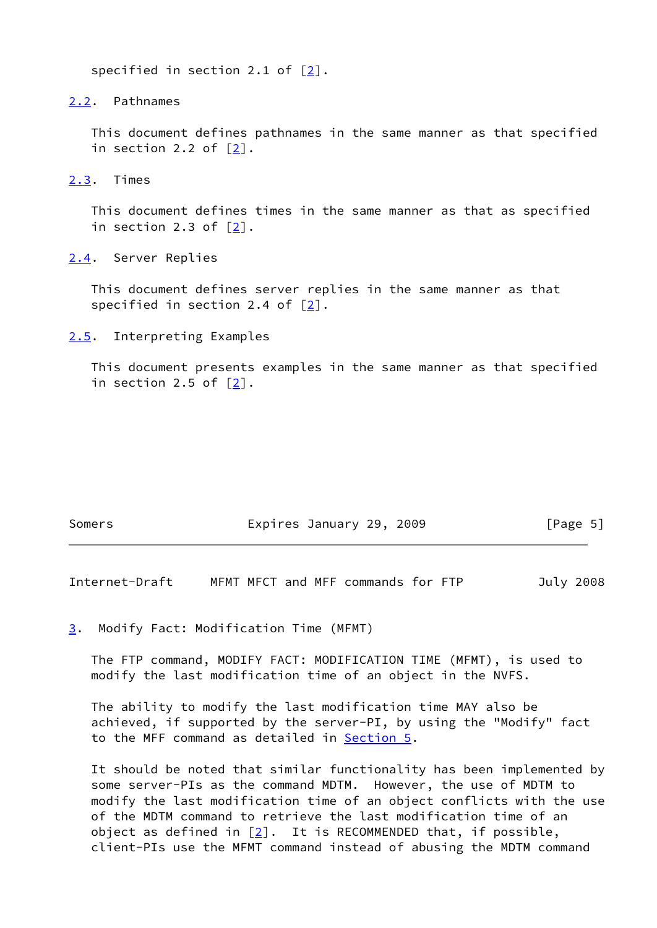specified in section 2.1 of  $[2]$  $[2]$ .

<span id="page-5-0"></span>[2.2](#page-5-0). Pathnames

 This document defines pathnames in the same manner as that specified in section 2.2 of [[2\]](#page-20-5).

<span id="page-5-1"></span>[2.3](#page-5-1). Times

 This document defines times in the same manner as that as specified in section 2.3 of [[2\]](#page-20-5).

<span id="page-5-2"></span>[2.4](#page-5-2). Server Replies

 This document defines server replies in the same manner as that specified in section 2.4 of [\[2](#page-20-5)].

<span id="page-5-3"></span>[2.5](#page-5-3). Interpreting Examples

 This document presents examples in the same manner as that specified in section 2.5 of [[2\]](#page-20-5).

| Somers | Expires January 29, 2009 | [Page 5] |
|--------|--------------------------|----------|
|--------|--------------------------|----------|

<span id="page-5-5"></span>Internet-Draft MFMT MFCT and MFF commands for FTP July 2008

<span id="page-5-4"></span>[3](#page-5-4). Modify Fact: Modification Time (MFMT)

 The FTP command, MODIFY FACT: MODIFICATION TIME (MFMT), is used to modify the last modification time of an object in the NVFS.

 The ability to modify the last modification time MAY also be achieved, if supported by the server-PI, by using the "Modify" fact to the MFF command as detailed in [Section 5.](#page-11-0)

 It should be noted that similar functionality has been implemented by some server-PIs as the command MDTM. However, the use of MDTM to modify the last modification time of an object conflicts with the use of the MDTM command to retrieve the last modification time of an object as defined in  $[2]$ . It is RECOMMENDED that, if possible, client-PIs use the MFMT command instead of abusing the MDTM command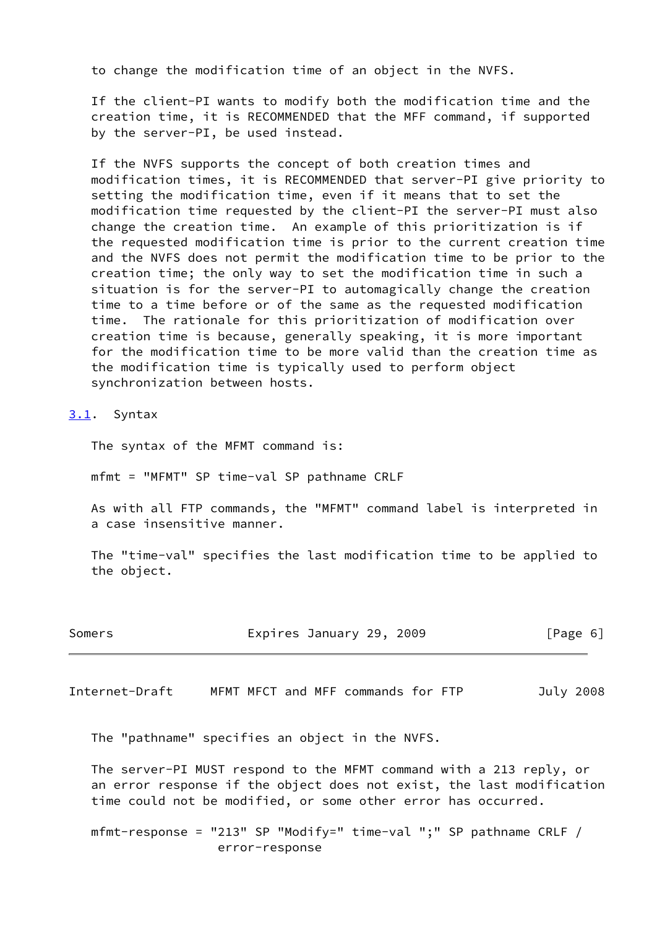to change the modification time of an object in the NVFS.

 If the client-PI wants to modify both the modification time and the creation time, it is RECOMMENDED that the MFF command, if supported by the server-PI, be used instead.

 If the NVFS supports the concept of both creation times and modification times, it is RECOMMENDED that server-PI give priority to setting the modification time, even if it means that to set the modification time requested by the client-PI the server-PI must also change the creation time. An example of this prioritization is if the requested modification time is prior to the current creation time and the NVFS does not permit the modification time to be prior to the creation time; the only way to set the modification time in such a situation is for the server-PI to automagically change the creation time to a time before or of the same as the requested modification time. The rationale for this prioritization of modification over creation time is because, generally speaking, it is more important for the modification time to be more valid than the creation time as the modification time is typically used to perform object synchronization between hosts.

<span id="page-6-0"></span>[3.1](#page-6-0). Syntax

The syntax of the MFMT command is:

mfmt = "MFMT" SP time-val SP pathname CRLF

 As with all FTP commands, the "MFMT" command label is interpreted in a case insensitive manner.

 The "time-val" specifies the last modification time to be applied to the object.

| Somers | Expires January 29, 2009 | [Page 6] |
|--------|--------------------------|----------|
|--------|--------------------------|----------|

<span id="page-6-1"></span>Internet-Draft MFMT MFCT and MFF commands for FTP July 2008

The "pathname" specifies an object in the NVFS.

 The server-PI MUST respond to the MFMT command with a 213 reply, or an error response if the object does not exist, the last modification time could not be modified, or some other error has occurred.

 mfmt-response = "213" SP "Modify=" time-val ";" SP pathname CRLF / error-response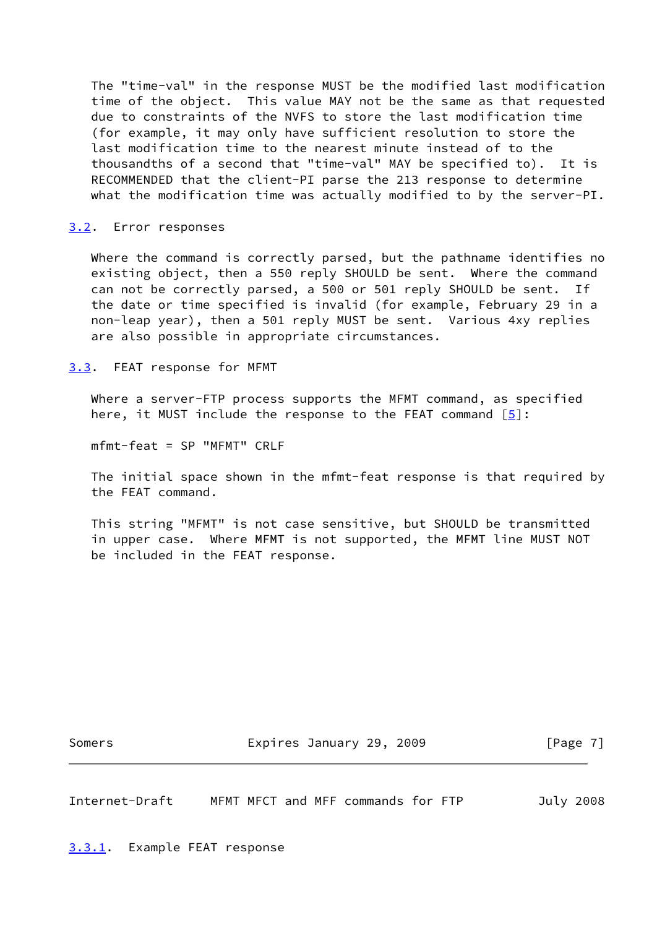The "time-val" in the response MUST be the modified last modification time of the object. This value MAY not be the same as that requested due to constraints of the NVFS to store the last modification time (for example, it may only have sufficient resolution to store the last modification time to the nearest minute instead of to the thousandths of a second that "time-val" MAY be specified to). It is RECOMMENDED that the client-PI parse the 213 response to determine what the modification time was actually modified to by the server-PI.

#### <span id="page-7-0"></span>[3.2](#page-7-0). Error responses

 Where the command is correctly parsed, but the pathname identifies no existing object, then a 550 reply SHOULD be sent. Where the command can not be correctly parsed, a 500 or 501 reply SHOULD be sent. If the date or time specified is invalid (for example, February 29 in a non-leap year), then a 501 reply MUST be sent. Various 4xy replies are also possible in appropriate circumstances.

<span id="page-7-1"></span>[3.3](#page-7-1). FEAT response for MFMT

 Where a server-FTP process supports the MFMT command, as specified here, it MUST include the response to the FEAT command  $[5]$  $[5]$ :

mfmt-feat = SP "MFMT" CRLF

 The initial space shown in the mfmt-feat response is that required by the FEAT command.

 This string "MFMT" is not case sensitive, but SHOULD be transmitted in upper case. Where MFMT is not supported, the MFMT line MUST NOT be included in the FEAT response.

Somers **Expires January 29, 2009** [Page 7]

<span id="page-7-3"></span>Internet-Draft MFMT MFCT and MFF commands for FTP July 2008

<span id="page-7-2"></span>[3.3.1](#page-7-2). Example FEAT response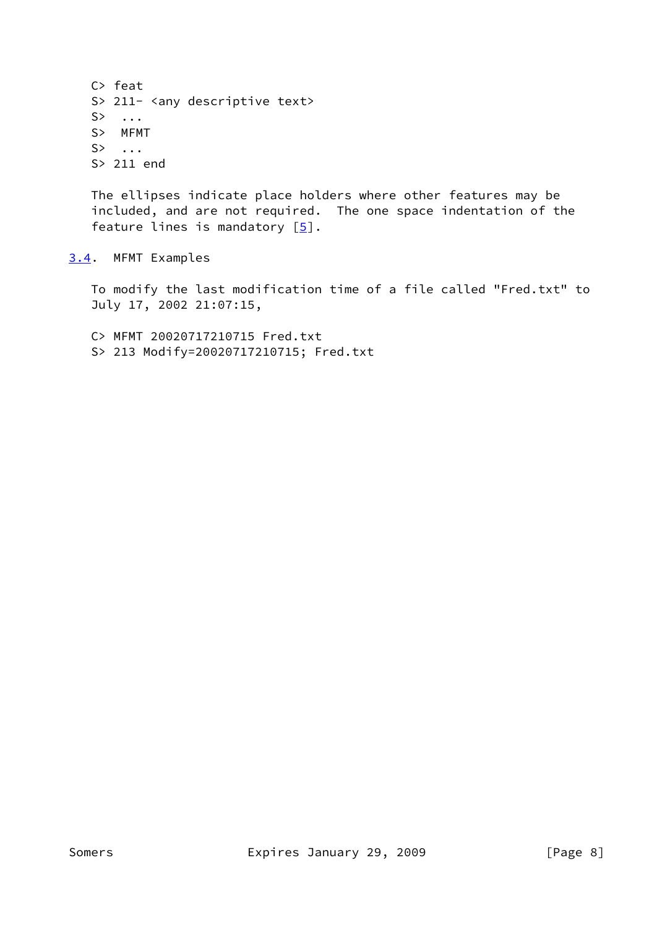C> feat S> 211- <any descriptive text> S> ... S> MFMT  $S$ > ... S> 211 end

 The ellipses indicate place holders where other features may be included, and are not required. The one space indentation of the feature lines is mandatory  $[5]$  $[5]$ .

<span id="page-8-0"></span>[3.4](#page-8-0). MFMT Examples

 To modify the last modification time of a file called "Fred.txt" to July 17, 2002 21:07:15,

 C> MFMT 20020717210715 Fred.txt S> 213 Modify=20020717210715; Fred.txt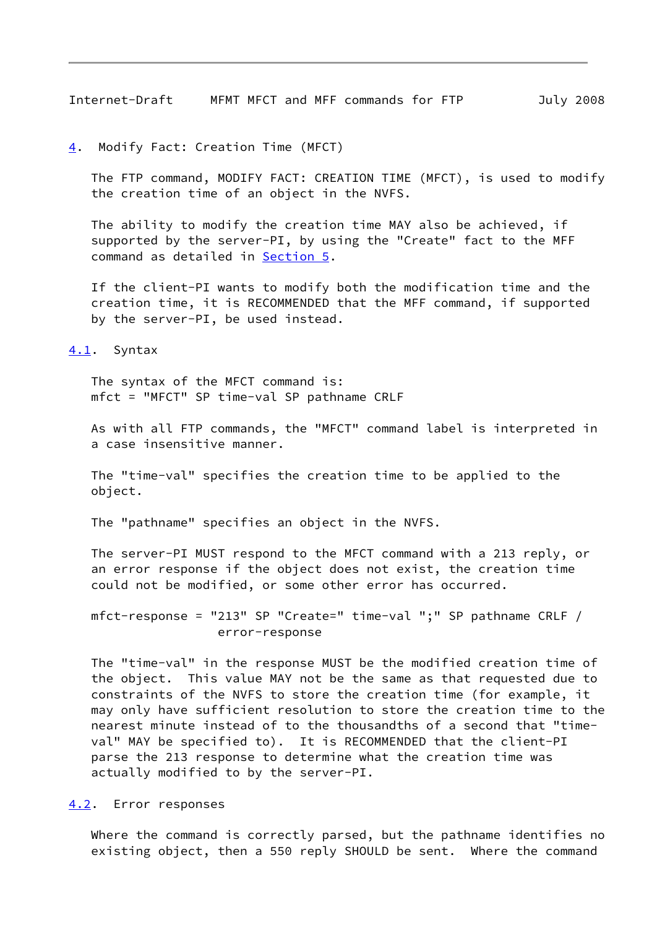<span id="page-9-1"></span>Internet-Draft MFMT MFCT and MFF commands for FTP July 2008

<span id="page-9-0"></span>[4](#page-9-0). Modify Fact: Creation Time (MFCT)

 The FTP command, MODIFY FACT: CREATION TIME (MFCT), is used to modify the creation time of an object in the NVFS.

 The ability to modify the creation time MAY also be achieved, if supported by the server-PI, by using the "Create" fact to the MFF command as detailed in [Section 5.](#page-11-0)

 If the client-PI wants to modify both the modification time and the creation time, it is RECOMMENDED that the MFF command, if supported by the server-PI, be used instead.

<span id="page-9-2"></span>[4.1](#page-9-2). Syntax

 The syntax of the MFCT command is: mfct = "MFCT" SP time-val SP pathname CRLF

 As with all FTP commands, the "MFCT" command label is interpreted in a case insensitive manner.

 The "time-val" specifies the creation time to be applied to the object.

The "pathname" specifies an object in the NVFS.

 The server-PI MUST respond to the MFCT command with a 213 reply, or an error response if the object does not exist, the creation time could not be modified, or some other error has occurred.

 mfct-response = "213" SP "Create=" time-val ";" SP pathname CRLF / error-response

 The "time-val" in the response MUST be the modified creation time of the object. This value MAY not be the same as that requested due to constraints of the NVFS to store the creation time (for example, it may only have sufficient resolution to store the creation time to the nearest minute instead of to the thousandths of a second that "time val" MAY be specified to). It is RECOMMENDED that the client-PI parse the 213 response to determine what the creation time was actually modified to by the server-PI.

<span id="page-9-3"></span>[4.2](#page-9-3). Error responses

 Where the command is correctly parsed, but the pathname identifies no existing object, then a 550 reply SHOULD be sent. Where the command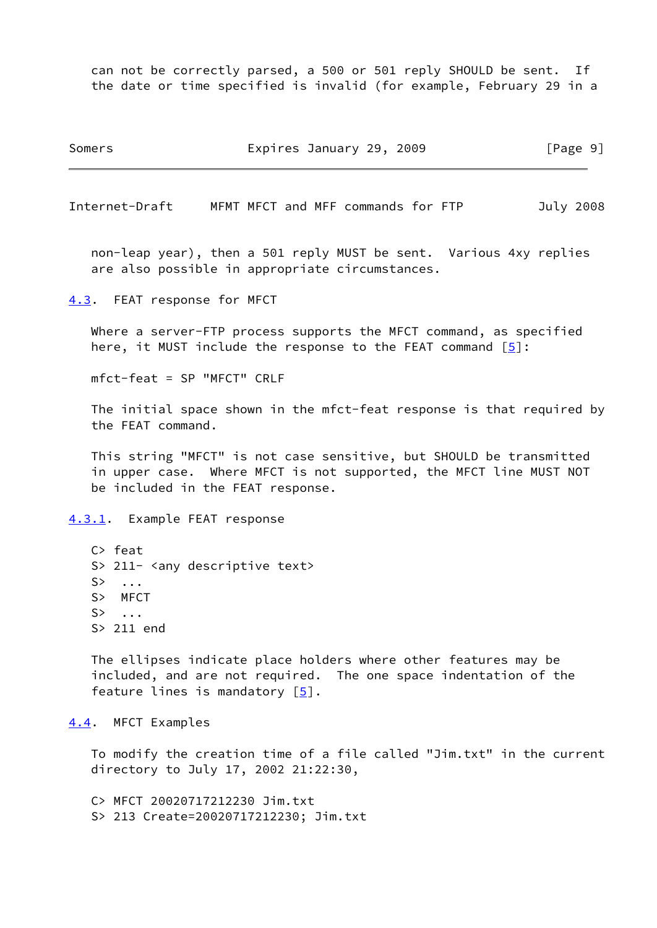can not be correctly parsed, a 500 or 501 reply SHOULD be sent. If the date or time specified is invalid (for example, February 29 in a

Somers **Expires January 29, 2009** [Page 9]

<span id="page-10-1"></span>Internet-Draft MFMT MFCT and MFF commands for FTP July 2008

 non-leap year), then a 501 reply MUST be sent. Various 4xy replies are also possible in appropriate circumstances.

<span id="page-10-0"></span>[4.3](#page-10-0). FEAT response for MFCT

 Where a server-FTP process supports the MFCT command, as specified here, it MUST include the response to the FEAT command  $[5]$  $[5]$ :

mfct-feat = SP "MFCT" CRLF

 The initial space shown in the mfct-feat response is that required by the FEAT command.

 This string "MFCT" is not case sensitive, but SHOULD be transmitted in upper case. Where MFCT is not supported, the MFCT line MUST NOT be included in the FEAT response.

<span id="page-10-2"></span>[4.3.1](#page-10-2). Example FEAT response

 C> feat S> 211- <any descriptive text>  $S$ > ... S> MFCT S> ... S> 211 end

 The ellipses indicate place holders where other features may be included, and are not required. The one space indentation of the feature lines is mandatory  $[5]$  $[5]$ .

<span id="page-10-3"></span>[4.4](#page-10-3). MFCT Examples

 To modify the creation time of a file called "Jim.txt" in the current directory to July 17, 2002 21:22:30,

 C> MFCT 20020717212230 Jim.txt S> 213 Create=20020717212230; Jim.txt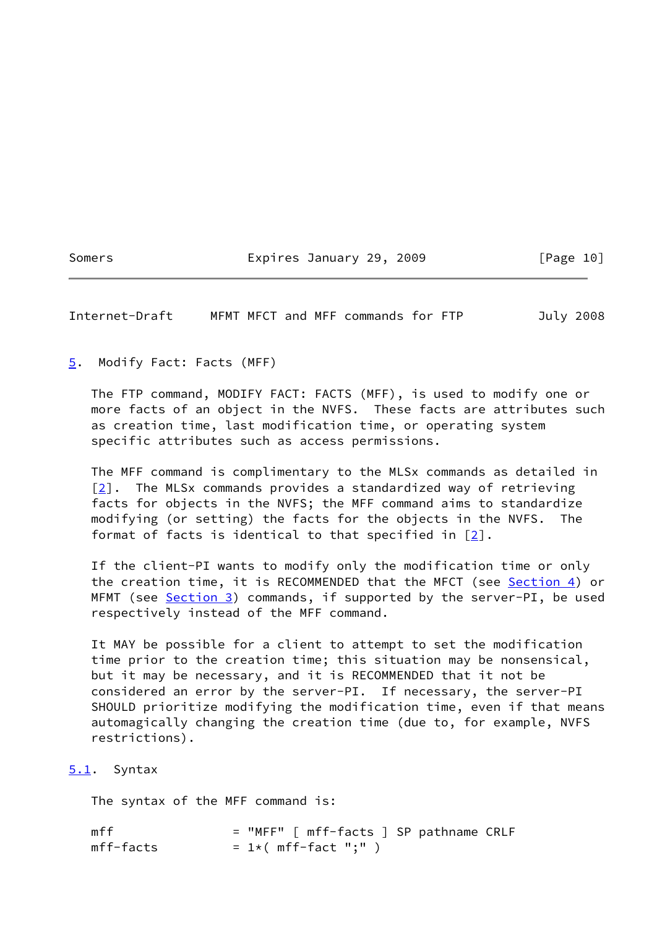## Somers **Expires January 29, 2009** [Page 10]

<span id="page-11-1"></span>Internet-Draft MFMT MFCT and MFF commands for FTP July 2008

<span id="page-11-0"></span>[5](#page-11-0). Modify Fact: Facts (MFF)

 The FTP command, MODIFY FACT: FACTS (MFF), is used to modify one or more facts of an object in the NVFS. These facts are attributes such as creation time, last modification time, or operating system specific attributes such as access permissions.

 The MFF command is complimentary to the MLSx commands as detailed in [\[2](#page-20-5)]. The MLSx commands provides a standardized way of retrieving facts for objects in the NVFS; the MFF command aims to standardize modifying (or setting) the facts for the objects in the NVFS. The format of facts is identical to that specified in  $[2]$  $[2]$ .

 If the client-PI wants to modify only the modification time or only the creation time, it is RECOMMENDED that the MFCT (see [Section 4](#page-9-0)) or MFMT (see **Section 3**) commands, if supported by the server-PI, be used respectively instead of the MFF command.

 It MAY be possible for a client to attempt to set the modification time prior to the creation time; this situation may be nonsensical, but it may be necessary, and it is RECOMMENDED that it not be considered an error by the server-PI. If necessary, the server-PI SHOULD prioritize modifying the modification time, even if that means automagically changing the creation time (due to, for example, NVFS restrictions).

#### <span id="page-11-2"></span>[5.1](#page-11-2). Syntax

The syntax of the MFF command is:

mff = "MFF" [ mff-facts ] SP pathname CRLF  $mff-facts = 1*( mff-fact ";" )$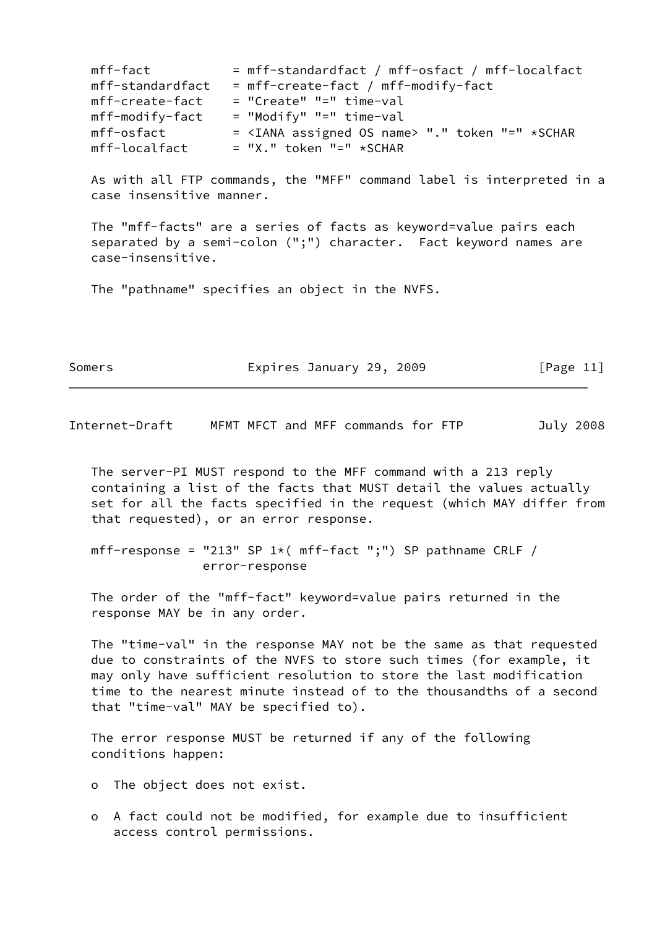| mff-fact         | = mff-standardfact / mff-osfact / mff-localfact                |
|------------------|----------------------------------------------------------------|
| mff-standardfact | = mff-create-fact / mff-modify-fact                            |
| mff-create-fact  | $=$ "Create" " $=$ " time-val                                  |
| mff-modify-fact  | $=$ "Modify" "=" time-val                                      |
| mff-osfact       | = <iana assigned="" name="" os=""> "." token "=" *SCHAR</iana> |
| mff-localfact    | $= "X."$ token "=" *SCHAR                                      |

 As with all FTP commands, the "MFF" command label is interpreted in a case insensitive manner.

 The "mff-facts" are a series of facts as keyword=value pairs each separated by a semi-colon (";") character. Fact keyword names are case-insensitive.

The "pathname" specifies an object in the NVFS.

| Somers | Expires January 29, 2009 | [Page 11] |
|--------|--------------------------|-----------|
|--------|--------------------------|-----------|

<span id="page-12-0"></span>Internet-Draft MFMT MFCT and MFF commands for FTP July 2008

 The server-PI MUST respond to the MFF command with a 213 reply containing a list of the facts that MUST detail the values actually set for all the facts specified in the request (which MAY differ from that requested), or an error response.

mff-response = "213" SP  $1*($  mff-fact ";") SP pathname CRLF / error-response

 The order of the "mff-fact" keyword=value pairs returned in the response MAY be in any order.

 The "time-val" in the response MAY not be the same as that requested due to constraints of the NVFS to store such times (for example, it may only have sufficient resolution to store the last modification time to the nearest minute instead of to the thousandths of a second that "time-val" MAY be specified to).

 The error response MUST be returned if any of the following conditions happen:

o The object does not exist.

 o A fact could not be modified, for example due to insufficient access control permissions.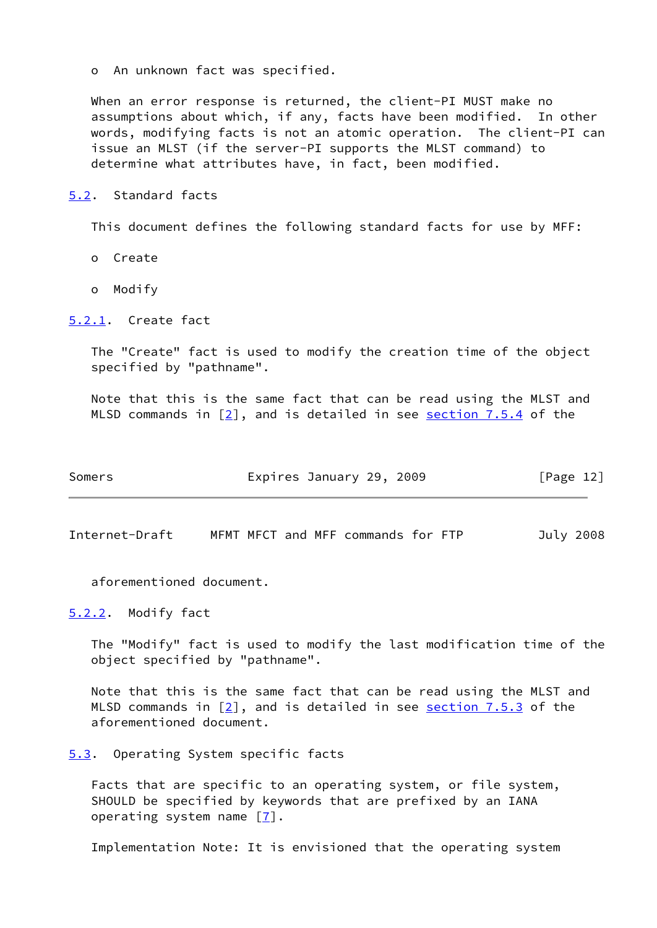o An unknown fact was specified.

 When an error response is returned, the client-PI MUST make no assumptions about which, if any, facts have been modified. In other words, modifying facts is not an atomic operation. The client-PI can issue an MLST (if the server-PI supports the MLST command) to determine what attributes have, in fact, been modified.

### <span id="page-13-0"></span>[5.2](#page-13-0). Standard facts

This document defines the following standard facts for use by MFF:

- o Create
- o Modify

#### <span id="page-13-1"></span>[5.2.1](#page-13-1). Create fact

 The "Create" fact is used to modify the creation time of the object specified by "pathname".

 Note that this is the same fact that can be read using the MLST and MLSD commands in  $[2]$ , and is detailed in see section 7.5.4 of the

| Somers | Expires January 29, 2009 | [Page 12] |
|--------|--------------------------|-----------|
|--------|--------------------------|-----------|

<span id="page-13-3"></span>Internet-Draft MFMT MFCT and MFF commands for FTP July 2008

aforementioned document.

<span id="page-13-2"></span>[5.2.2](#page-13-2). Modify fact

 The "Modify" fact is used to modify the last modification time of the object specified by "pathname".

 Note that this is the same fact that can be read using the MLST and MLSD commands in  $[2]$ , and is detailed in see section 7.5.3 of the aforementioned document.

<span id="page-13-4"></span>[5.3](#page-13-4). Operating System specific facts

 Facts that are specific to an operating system, or file system, SHOULD be specified by keywords that are prefixed by an IANA operating system name [[7\]](#page-21-0).

Implementation Note: It is envisioned that the operating system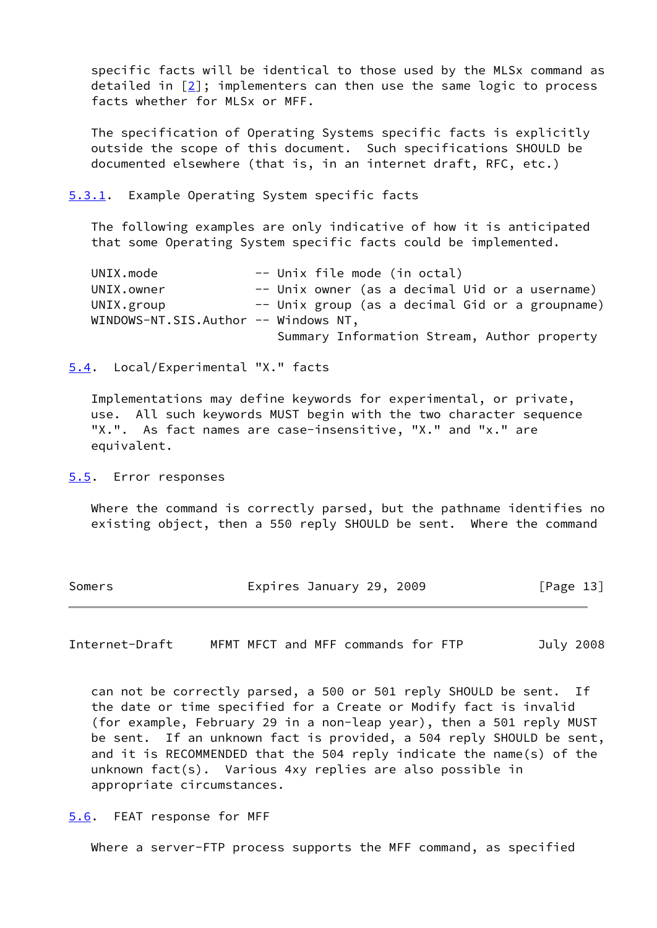specific facts will be identical to those used by the MLSx command as detailed in  $[2]$  $[2]$ ; implementers can then use the same logic to process facts whether for MLSx or MFF.

 The specification of Operating Systems specific facts is explicitly outside the scope of this document. Such specifications SHOULD be documented elsewhere (that is, in an internet draft, RFC, etc.)

<span id="page-14-0"></span>[5.3.1](#page-14-0). Example Operating System specific facts

 The following examples are only indicative of how it is anticipated that some Operating System specific facts could be implemented.

UNIX.mode -- Unix file mode (in octal) UNIX.owner -- Unix owner (as a decimal Uid or a username) UNIX.group -- Unix group (as a decimal Gid or a groupname) WINDOWS-NT.SIS.Author -- Windows NT, Summary Information Stream, Author property

<span id="page-14-1"></span>[5.4](#page-14-1). Local/Experimental "X." facts

 Implementations may define keywords for experimental, or private, use. All such keywords MUST begin with the two character sequence "X.". As fact names are case-insensitive, "X." and "x." are equivalent.

<span id="page-14-2"></span>[5.5](#page-14-2). Error responses

 Where the command is correctly parsed, but the pathname identifies no existing object, then a 550 reply SHOULD be sent. Where the command

| Somers | Expires January 29, 2009 | [Page 13] |
|--------|--------------------------|-----------|
|--------|--------------------------|-----------|

<span id="page-14-4"></span>Internet-Draft MFMT MFCT and MFF commands for FTP July 2008

 can not be correctly parsed, a 500 or 501 reply SHOULD be sent. If the date or time specified for a Create or Modify fact is invalid (for example, February 29 in a non-leap year), then a 501 reply MUST be sent. If an unknown fact is provided, a 504 reply SHOULD be sent, and it is RECOMMENDED that the 504 reply indicate the name(s) of the unknown fact(s). Various 4xy replies are also possible in appropriate circumstances.

<span id="page-14-3"></span>[5.6](#page-14-3). FEAT response for MFF

Where a server-FTP process supports the MFF command, as specified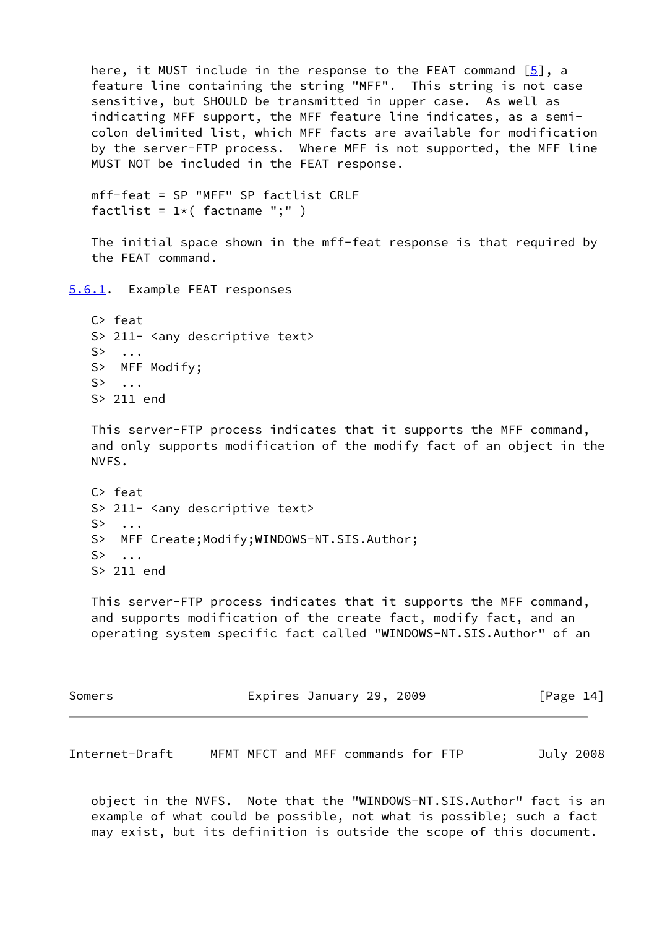<span id="page-15-0"></span>here, it MUST include in the response to the FEAT command  $[5]$  $[5]$ , a feature line containing the string "MFF". This string is not case sensitive, but SHOULD be transmitted in upper case. As well as indicating MFF support, the MFF feature line indicates, as a semi colon delimited list, which MFF facts are available for modification by the server-FTP process. Where MFF is not supported, the MFF line MUST NOT be included in the FEAT response. mff-feat = SP "MFF" SP factlist CRLF factlist =  $1*($  factname ";"  $)$  The initial space shown in the mff-feat response is that required by the FEAT command. [5.6.1](#page-15-0). Example FEAT responses C> feat S> 211- <any descriptive text> S> ... S> MFF Modify; S> ... S> 211 end This server-FTP process indicates that it supports the MFF command, and only supports modification of the modify fact of an object in the NVFS. C> feat S> 211- <any descriptive text> S> ... S> MFF Create;Modify;WINDOWS-NT.SIS.Author;  $S>$  ... S> 211 end This server-FTP process indicates that it supports the MFF command, and supports modification of the create fact, modify fact, and an operating system specific fact called "WINDOWS-NT.SIS.Author" of an Somers **Expires January 29, 2009** [Page 14]

 object in the NVFS. Note that the "WINDOWS-NT.SIS.Author" fact is an example of what could be possible, not what is possible; such a fact may exist, but its definition is outside the scope of this document.

<span id="page-15-1"></span>Internet-Draft MFMT MFCT and MFF commands for FTP July 2008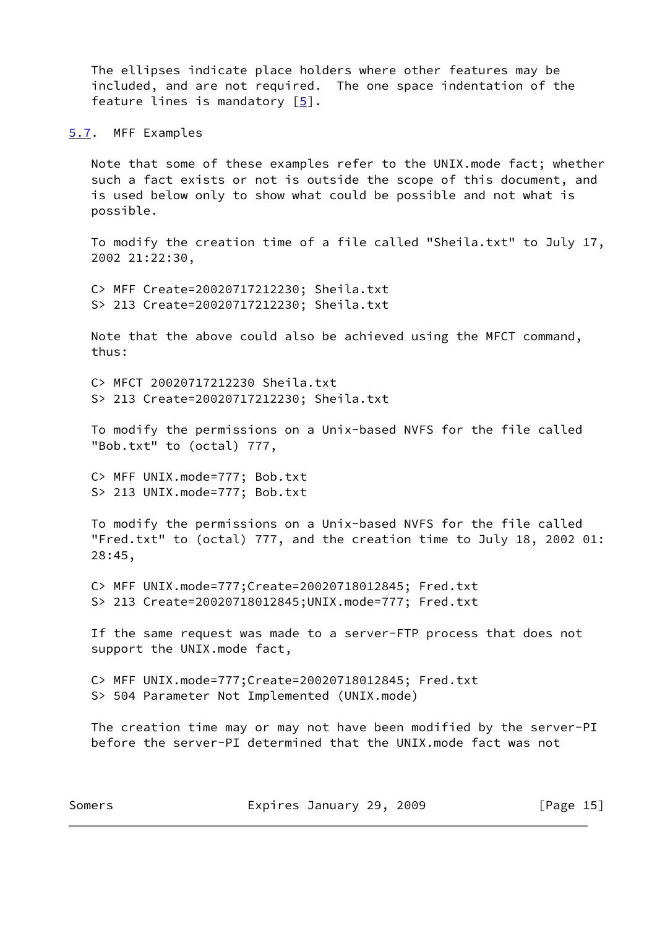The ellipses indicate place holders where other features may be included, and are not required. The one space indentation of the feature lines is mandatory [[5\]](#page-20-8).

<span id="page-16-0"></span>[5.7](#page-16-0). MFF Examples

 Note that some of these examples refer to the UNIX.mode fact; whether such a fact exists or not is outside the scope of this document, and is used below only to show what could be possible and not what is possible.

 To modify the creation time of a file called "Sheila.txt" to July 17, 2002 21:22:30,

 C> MFF Create=20020717212230; Sheila.txt S> 213 Create=20020717212230; Sheila.txt

 Note that the above could also be achieved using the MFCT command, thus:

 C> MFCT 20020717212230 Sheila.txt S> 213 Create=20020717212230; Sheila.txt

 To modify the permissions on a Unix-based NVFS for the file called "Bob.txt" to (octal) 777,

 C> MFF UNIX.mode=777; Bob.txt S> 213 UNIX.mode=777; Bob.txt

 To modify the permissions on a Unix-based NVFS for the file called "Fred.txt" to (octal) 777, and the creation time to July 18, 2002 01: 28:45,

 C> MFF UNIX.mode=777;Create=20020718012845; Fred.txt S> 213 Create=20020718012845;UNIX.mode=777; Fred.txt

 If the same request was made to a server-FTP process that does not support the UNIX.mode fact,

 C> MFF UNIX.mode=777;Create=20020718012845; Fred.txt S> 504 Parameter Not Implemented (UNIX.mode)

 The creation time may or may not have been modified by the server-PI before the server-PI determined that the UNIX.mode fact was not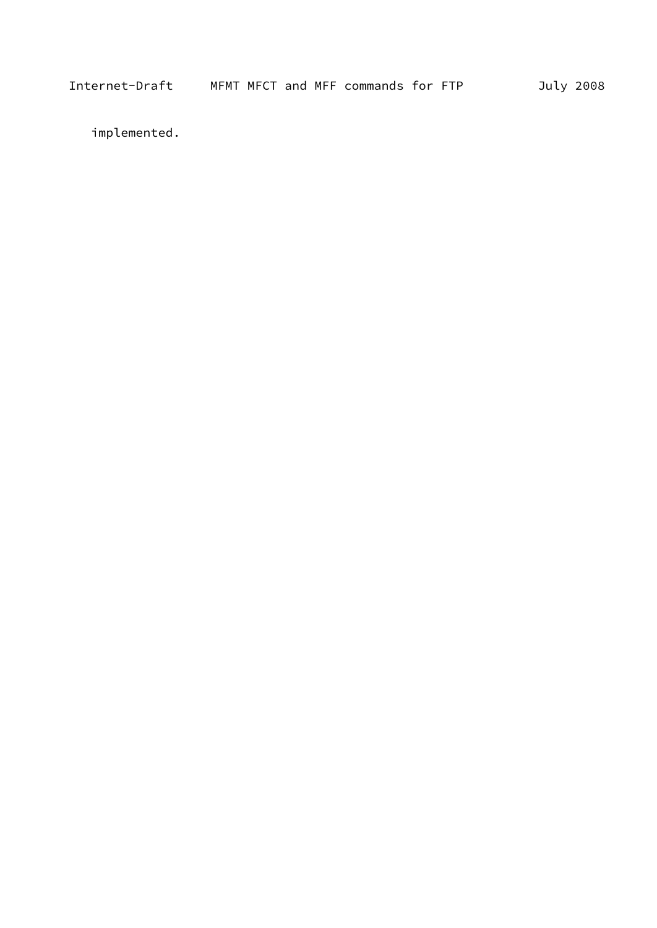implemented.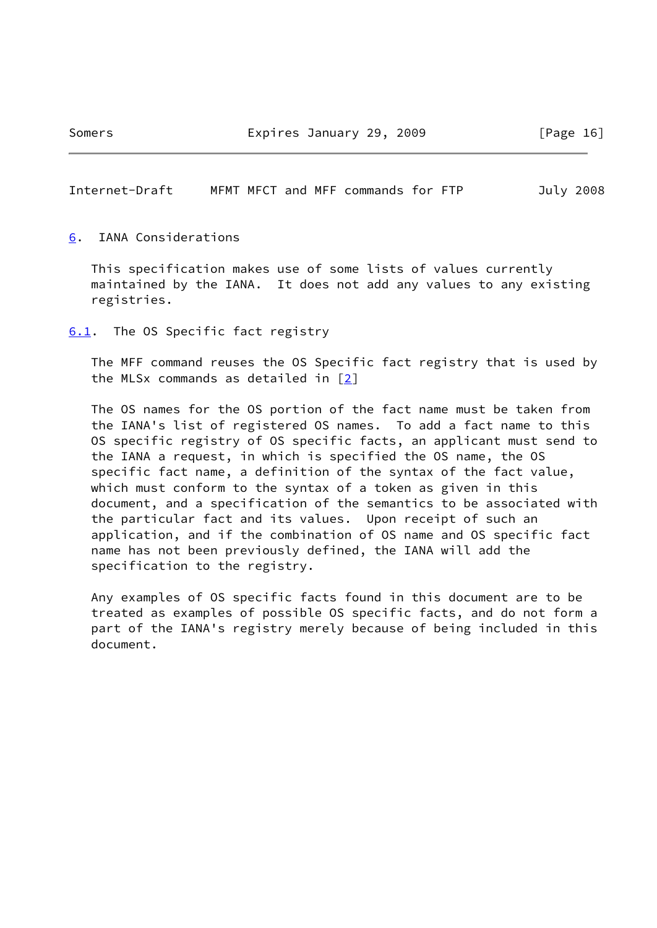Somers **Expires January 29, 2009** [Page 16]

<span id="page-18-1"></span>Internet-Draft MFMT MFCT and MFF commands for FTP July 2008

<span id="page-18-0"></span>[6](#page-18-0). IANA Considerations

 This specification makes use of some lists of values currently maintained by the IANA. It does not add any values to any existing registries.

<span id="page-18-2"></span>[6.1](#page-18-2). The OS Specific fact registry

 The MFF command reuses the OS Specific fact registry that is used by the MLSx commands as detailed in [\[2\]](#page-20-5)

 The OS names for the OS portion of the fact name must be taken from the IANA's list of registered OS names. To add a fact name to this OS specific registry of OS specific facts, an applicant must send to the IANA a request, in which is specified the OS name, the OS specific fact name, a definition of the syntax of the fact value, which must conform to the syntax of a token as given in this document, and a specification of the semantics to be associated with the particular fact and its values. Upon receipt of such an application, and if the combination of OS name and OS specific fact name has not been previously defined, the IANA will add the specification to the registry.

 Any examples of OS specific facts found in this document are to be treated as examples of possible OS specific facts, and do not form a part of the IANA's registry merely because of being included in this document.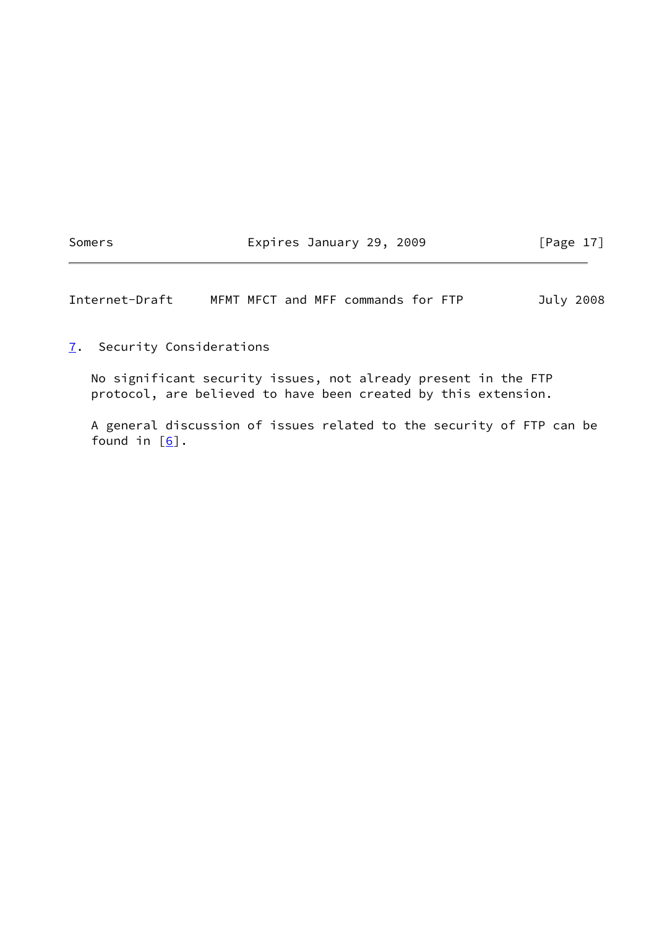Somers **Expires January 29, 2009** [Page 17]

<span id="page-19-1"></span>Internet-Draft MFMT MFCT and MFF commands for FTP July 2008

<span id="page-19-0"></span>[7](#page-19-0). Security Considerations

 No significant security issues, not already present in the FTP protocol, are believed to have been created by this extension.

 A general discussion of issues related to the security of FTP can be found in  $[6]$ .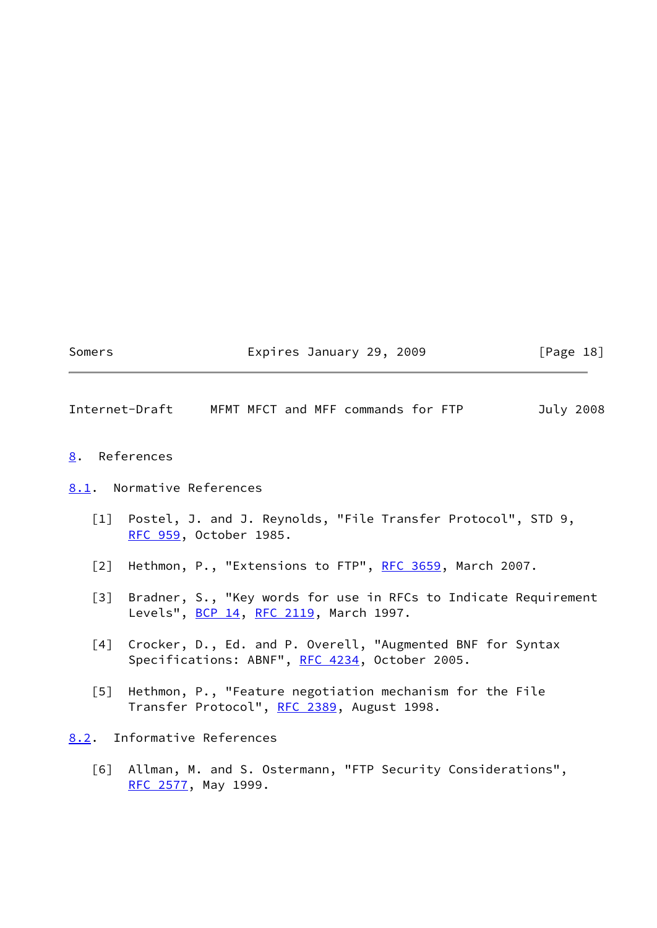Somers **Expires January 29, 2009** [Page 18]

<span id="page-20-1"></span>Internet-Draft MFMT MFCT and MFF commands for FTP July 2008

- <span id="page-20-0"></span>[8](#page-20-0). References
- <span id="page-20-6"></span><span id="page-20-5"></span><span id="page-20-4"></span><span id="page-20-2"></span>[8.1](#page-20-2). Normative References
	- [1] Postel, J. and J. Reynolds, "File Transfer Protocol", STD 9, [RFC 959](https://datatracker.ietf.org/doc/pdf/rfc959), October 1985.
	- [2] Hethmon, P., "Extensions to FTP", [RFC 3659,](https://datatracker.ietf.org/doc/pdf/rfc3659) March 2007.
	- [3] Bradner, S., "Key words for use in RFCs to Indicate Requirement Levels", [BCP 14](https://datatracker.ietf.org/doc/pdf/bcp14), [RFC 2119](https://datatracker.ietf.org/doc/pdf/rfc2119), March 1997.
	- [4] Crocker, D., Ed. and P. Overell, "Augmented BNF for Syntax Specifications: ABNF", [RFC 4234,](https://datatracker.ietf.org/doc/pdf/rfc4234) October 2005.
	- [5] Hethmon, P., "Feature negotiation mechanism for the File Transfer Protocol", [RFC 2389](https://datatracker.ietf.org/doc/pdf/rfc2389), August 1998.

<span id="page-20-8"></span><span id="page-20-7"></span><span id="page-20-3"></span>[8.2](#page-20-3). Informative References

<span id="page-20-9"></span> [6] Allman, M. and S. Ostermann, "FTP Security Considerations", [RFC 2577](https://datatracker.ietf.org/doc/pdf/rfc2577), May 1999.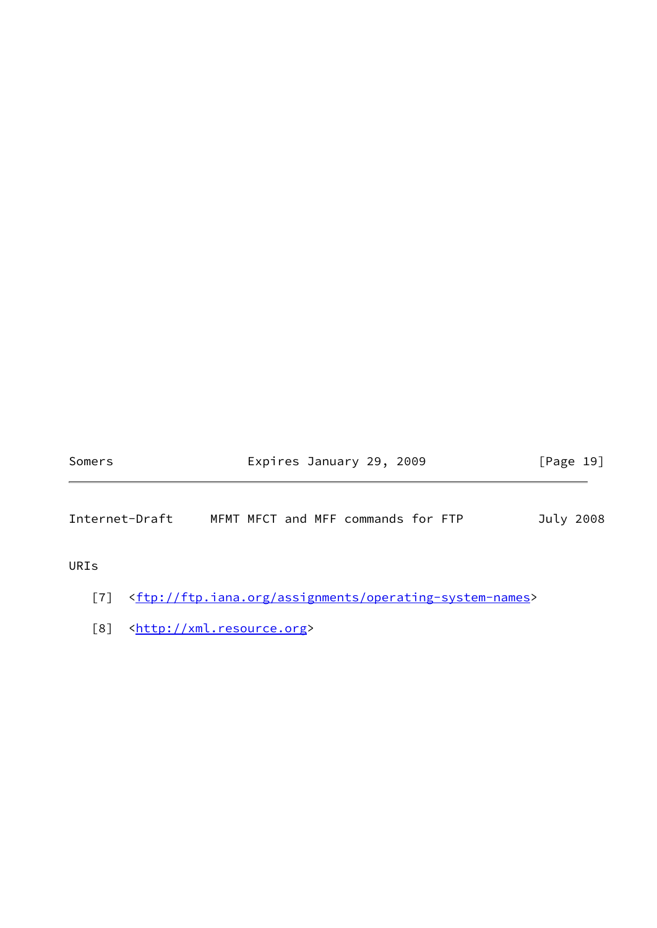Somers **Expires January 29, 2009** [Page 19]

Internet-Draft MFMT MFCT and MFF commands for FTP July 2008

URIs

- <span id="page-21-0"></span>[7] [<ftp://ftp.iana.org/assignments/operating-system-names>](ftp://ftp.iana.org/assignments/operating-system-names)
- <span id="page-21-1"></span>[8] [<http://xml.resource.org](http://xml.resource.org)>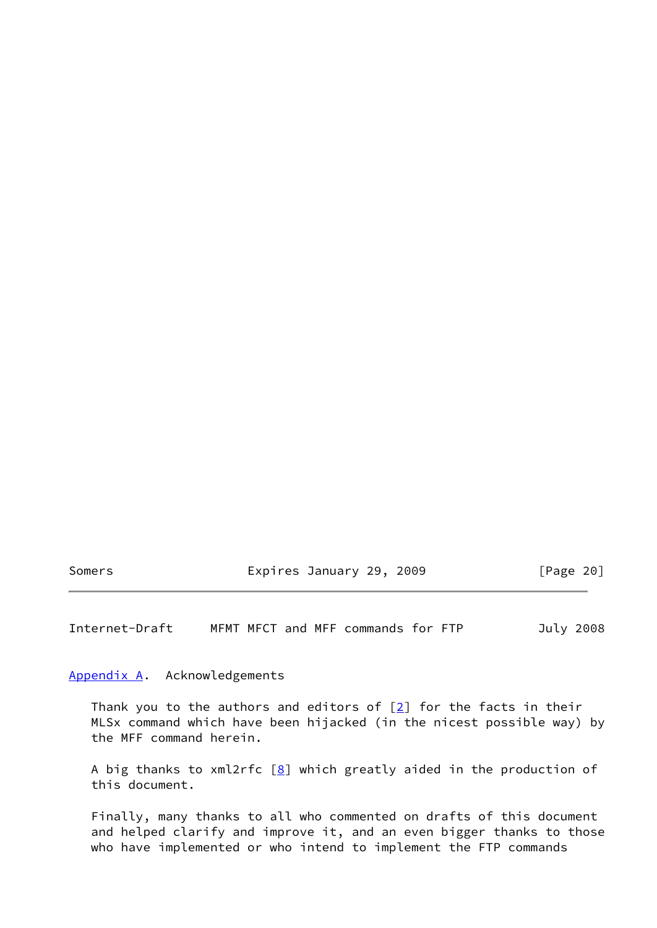Somers **Expires January 29, 2009** [Page 20]

<span id="page-22-1"></span>Internet-Draft MFMT MFCT and MFF commands for FTP July 2008

<span id="page-22-0"></span>[Appendix A.](#page-22-0) Acknowledgements

Thank you to the authors and editors of  $[2]$  $[2]$  for the facts in their MLSx command which have been hijacked (in the nicest possible way) by the MFF command herein.

A big thanks to xml2rfc  $[8]$  $[8]$  which greatly aided in the production of this document.

 Finally, many thanks to all who commented on drafts of this document and helped clarify and improve it, and an even bigger thanks to those who have implemented or who intend to implement the FTP commands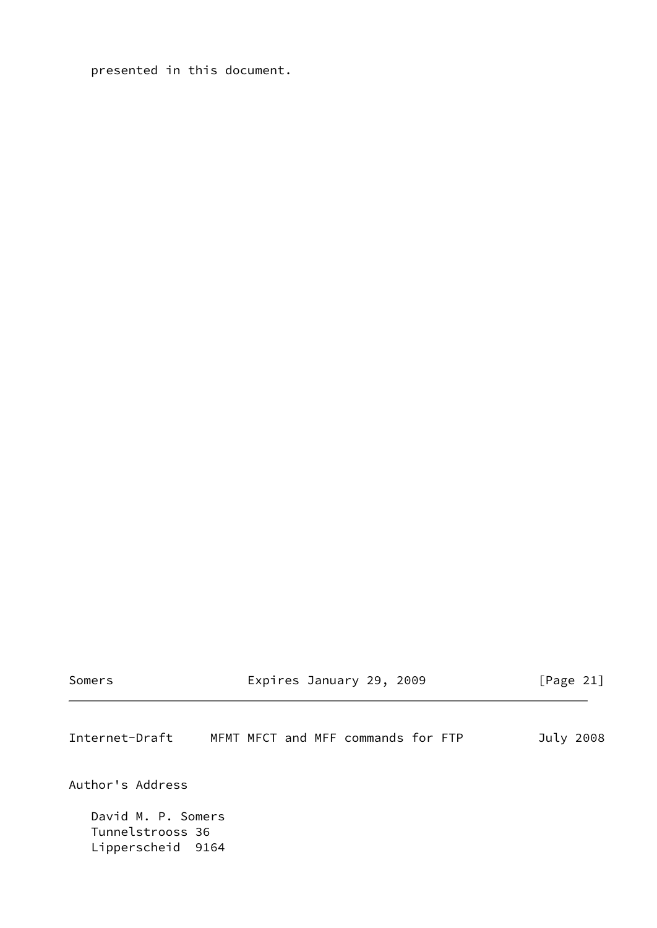presented in this document.

| somer |  |
|-------|--|
|-------|--|

Expires January 29, 2009 [Page 21]

<span id="page-23-0"></span>Internet-Draft MFMT MFCT and MFF commands for FTP July 2008 Author's Address David M. P. Somers Tunnelstrooss 36 Lipperscheid 9164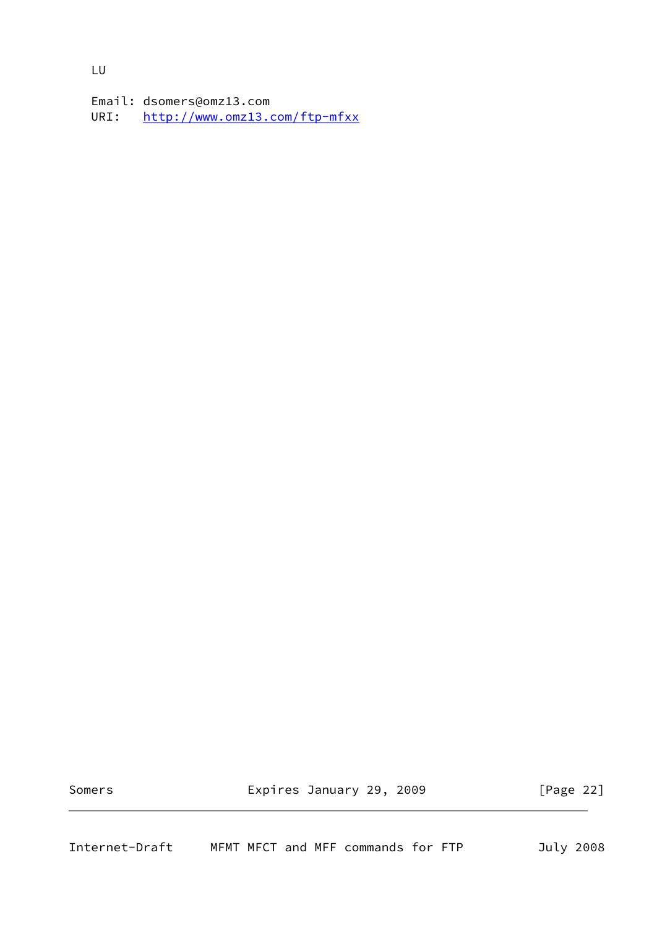LU

 Email: dsomers@omz13.com URI: <http://www.omz13.com/ftp-mfxx>

<span id="page-24-0"></span>

Somers **Expires January 29, 2009** [Page 22]